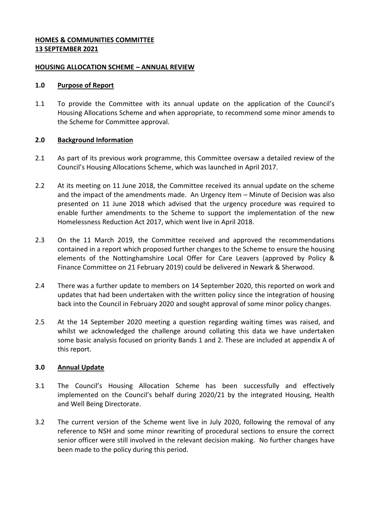## **HOMES & COMMUNITIES COMMITTEE 13 SEPTEMBER 2021**

#### **HOUSING ALLOCATION SCHEME – ANNUAL REVIEW**

#### **1.0 Purpose of Report**

1.1 To provide the Committee with its annual update on the application of the Council's Housing Allocations Scheme and when appropriate, to recommend some minor amends to the Scheme for Committee approval.

#### **2.0 Background Information**

- 2.1 As part of its previous work programme, this Committee oversaw a detailed review of the Council's Housing Allocations Scheme, which was launched in April 2017.
- 2.2 At its meeting on 11 June 2018, the Committee received its annual update on the scheme and the impact of the amendments made. An Urgency Item – Minute of Decision was also presented on 11 June 2018 which advised that the urgency procedure was required to enable further amendments to the Scheme to support the implementation of the new Homelessness Reduction Act 2017, which went live in April 2018.
- 2.3 On the 11 March 2019, the Committee received and approved the recommendations contained in a report which proposed further changes to the Scheme to ensure the housing elements of the Nottinghamshire Local Offer for Care Leavers (approved by Policy & Finance Committee on 21 February 2019) could be delivered in Newark & Sherwood.
- 2.4 There was a further update to members on 14 September 2020, this reported on work and updates that had been undertaken with the written policy since the integration of housing back into the Council in February 2020 and sought approval of some minor policy changes.
- 2.5 At the 14 September 2020 meeting a question regarding waiting times was raised, and whilst we acknowledged the challenge around collating this data we have undertaken some basic analysis focused on priority Bands 1 and 2. These are included at appendix A of this report.

#### **3.0 Annual Update**

- 3.1 The Council's Housing Allocation Scheme has been successfully and effectively implemented on the Council's behalf during 2020/21 by the integrated Housing, Health and Well Being Directorate.
- 3.2 The current version of the Scheme went live in July 2020, following the removal of any reference to NSH and some minor rewriting of procedural sections to ensure the correct senior officer were still involved in the relevant decision making. No further changes have been made to the policy during this period.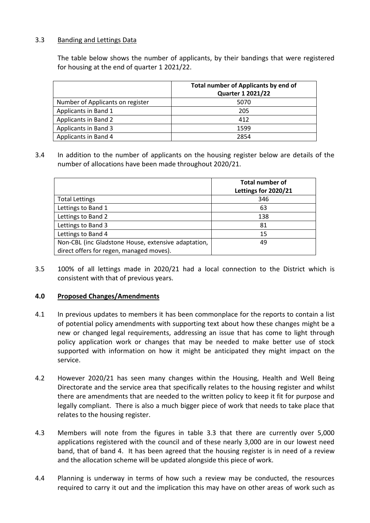## 3.3 Banding and Lettings Data

The table below shows the number of applicants, by their bandings that were registered for housing at the end of quarter 1 2021/22.

|                                  | Total number of Applicants by end of<br><b>Quarter 1 2021/22</b> |  |  |  |
|----------------------------------|------------------------------------------------------------------|--|--|--|
| Number of Applicants on register | 5070                                                             |  |  |  |
| Applicants in Band 1             | 205                                                              |  |  |  |
| Applicants in Band 2             | 412                                                              |  |  |  |
| Applicants in Band 3             | 1599                                                             |  |  |  |
| Applicants in Band 4             | 2854                                                             |  |  |  |

3.4 In addition to the number of applicants on the housing register below are details of the number of allocations have been made throughout 2020/21.

|                                                     | <b>Total number of</b><br>Lettings for 2020/21 |
|-----------------------------------------------------|------------------------------------------------|
| <b>Total Lettings</b>                               | 346                                            |
| Lettings to Band 1                                  | 63                                             |
| Lettings to Band 2                                  | 138                                            |
| Lettings to Band 3                                  | 81                                             |
| Lettings to Band 4                                  | 15                                             |
| Non-CBL (inc Gladstone House, extensive adaptation, | 49                                             |
| direct offers for regen, managed moves).            |                                                |

3.5 100% of all lettings made in 2020/21 had a local connection to the District which is consistent with that of previous years.

#### **4.0 Proposed Changes/Amendments**

- 4.1 In previous updates to members it has been commonplace for the reports to contain a list of potential policy amendments with supporting text about how these changes might be a new or changed legal requirements, addressing an issue that has come to light through policy application work or changes that may be needed to make better use of stock supported with information on how it might be anticipated they might impact on the service.
- 4.2 However 2020/21 has seen many changes within the Housing, Health and Well Being Directorate and the service area that specifically relates to the housing register and whilst there are amendments that are needed to the written policy to keep it fit for purpose and legally compliant. There is also a much bigger piece of work that needs to take place that relates to the housing register.
- 4.3 Members will note from the figures in table 3.3 that there are currently over 5,000 applications registered with the council and of these nearly 3,000 are in our lowest need band, that of band 4. It has been agreed that the housing register is in need of a review and the allocation scheme will be updated alongside this piece of work.
- 4.4 Planning is underway in terms of how such a review may be conducted, the resources required to carry it out and the implication this may have on other areas of work such as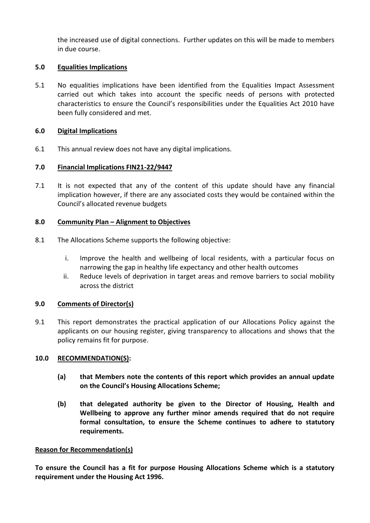the increased use of digital connections. Further updates on this will be made to members in due course.

## **5.0 Equalities Implications**

5.1 No equalities implications have been identified from the Equalities Impact Assessment carried out which takes into account the specific needs of persons with protected characteristics to ensure the Council's responsibilities under the Equalities Act 2010 have been fully considered and met.

## **6.0 Digital Implications**

6.1 This annual review does not have any digital implications.

# **7.0 Financial Implications FIN21-22/9447**

7.1 It is not expected that any of the content of this update should have any financial implication however, if there are any associated costs they would be contained within the Council's allocated revenue budgets

## **8.0 Community Plan – Alignment to Objectives**

- 8.1 The Allocations Scheme supports the following objective:
	- i. Improve the health and wellbeing of local residents, with a particular focus on narrowing the gap in healthy life expectancy and other health outcomes
	- ii. Reduce levels of deprivation in target areas and remove barriers to social mobility across the district

# **9.0 Comments of Director(s)**

9.1 This report demonstrates the practical application of our Allocations Policy against the applicants on our housing register, giving transparency to allocations and shows that the policy remains fit for purpose.

#### **10.0 RECOMMENDATION(S):**

- **(a) that Members note the contents of this report which provides an annual update on the Council's Housing Allocations Scheme;**
- **(b) that delegated authority be given to the Director of Housing, Health and Wellbeing to approve any further minor amends required that do not require formal consultation, to ensure the Scheme continues to adhere to statutory requirements.**

#### **Reason for Recommendation(s)**

**To ensure the Council has a fit for purpose Housing Allocations Scheme which is a statutory requirement under the Housing Act 1996.**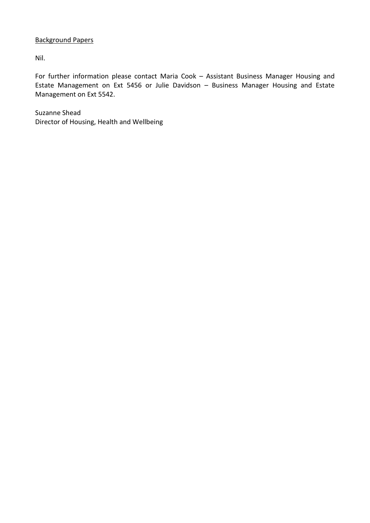## Background Papers

Nil.

For further information please contact Maria Cook – Assistant Business Manager Housing and Estate Management on Ext 5456 or Julie Davidson – Business Manager Housing and Estate Management on Ext 5542.

Suzanne Shead Director of Housing, Health and Wellbeing